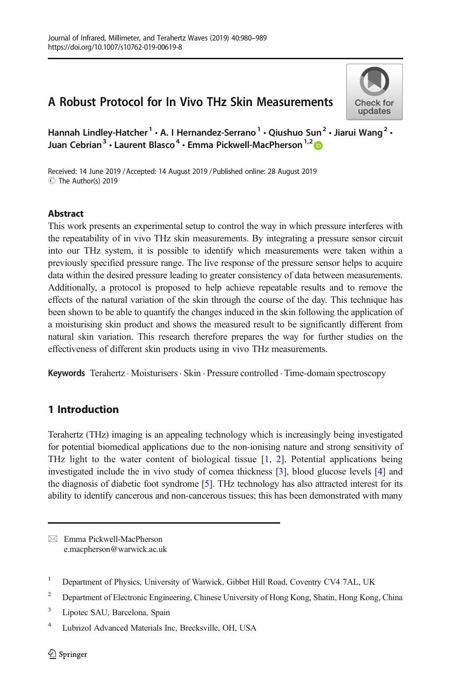# A Robust Protocol for In Vivo THz Skin Measurements



Hannah Lindley-Hatcher<sup>1</sup> · A. I Hernandez-Serrano<sup>1</sup> · Qiushuo Sun<sup>2</sup> · Jiarui Wang<sup>2</sup> · Juan Cebrian<sup>3</sup>  $\cdot$  Laurent Blasco<sup>4</sup>  $\cdot$  Emma Pickwell-MacPherson<sup>1,2</sup>

Received: 14 June 2019 / Accepted: 14 August 2019 /Published online: 28 August 2019 C The Author(s) 2019

### Abstract

This work presents an experimental setup to control the way in which pressure interferes with the repeatability of in vivo THz skin measurements. By integrating a pressure sensor circuit into our THz system, it is possible to identify which measurements were taken within a previously specified pressure range. The live response of the pressure sensor helps to acquire data within the desired pressure leading to greater consistency of data between measurements. Additionally, a protocol is proposed to help achieve repeatable results and to remove the effects of the natural variation of the skin through the course of the day. This technique has been shown to be able to quantify the changes induced in the skin following the application of a moisturising skin product and shows the measured result to be significantly different from natural skin variation. This research therefore prepares the way for further studies on the effectiveness of different skin products using in vivo THz measurements.

Keywords Terahertz . Moisturisers. Skin . Pressure controlled . Time-domain spectroscopy

# 1 Introduction

Terahertz (THz) imaging is an appealing technology which is increasingly being investigated for potential biomedical applications due to the non-ionising nature and strong sensitivity of THz light to the water content of biological tissue  $[1, 2]$  $[1, 2]$  $[1, 2]$  $[1, 2]$ . Potential applications being investigated include the in vivo study of cornea thickness [[3](#page-9-0)], blood glucose levels [\[4\]](#page-9-0) and the diagnosis of diabetic foot syndrome [[5](#page-9-0)]. THz technology has also attracted interest for its ability to identify cancerous and non-cancerous tissues; this has been demonstrated with many

 $\boxtimes$  Emma Pickwell-MacPherson [e.macpherson@warwick.ac.uk](mailto:e.macpherson@warwick.ac.uk)

<sup>3</sup> Lipotec SAU, Barcelona, Spain

<sup>&</sup>lt;sup>1</sup> Department of Physics, University of Warwick, Gibbet Hill Road, Coventry CV4 7AL, UK

<sup>&</sup>lt;sup>2</sup> Department of Electronic Engineering, Chinese University of Hong Kong, Shatin, Hong Kong, China

<sup>4</sup> Lubrizol Advanced Materials Inc, Brecksville, OH, USA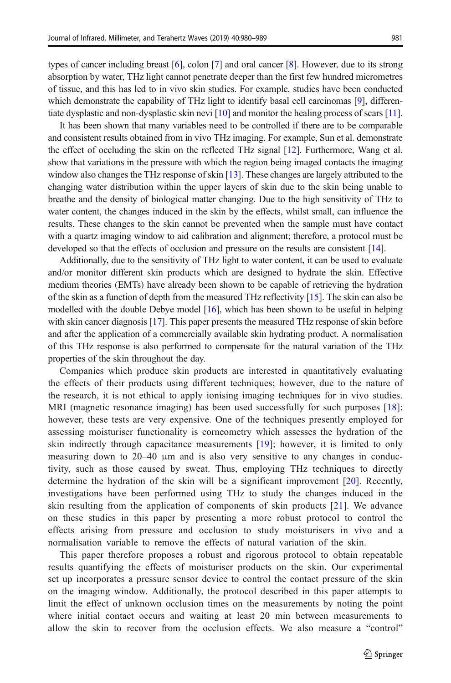types of cancer including breast [\[6\]](#page-9-0), colon [\[7\]](#page-9-0) and oral cancer [[8](#page-9-0)]. However, due to its strong absorption by water, THz light cannot penetrate deeper than the first few hundred micrometres of tissue, and this has led to in vivo skin studies. For example, studies have been conducted which demonstrate the capability of THz light to identify basal cell carcinomas [\[9\]](#page-9-0), differentiate dysplastic and non-dysplastic skin nevi [\[10\]](#page-9-0) and monitor the healing process of scars [\[11](#page-9-0)].

It has been shown that many variables need to be controlled if there are to be comparable and consistent results obtained from in vivo THz imaging. For example, Sun et al. demonstrate the effect of occluding the skin on the reflected THz signal [[12\]](#page-9-0). Furthermore, Wang et al. show that variations in the pressure with which the region being imaged contacts the imaging window also changes the THz response of skin [[13](#page-9-0)]. These changes are largely attributed to the changing water distribution within the upper layers of skin due to the skin being unable to breathe and the density of biological matter changing. Due to the high sensitivity of THz to water content, the changes induced in the skin by the effects, whilst small, can influence the results. These changes to the skin cannot be prevented when the sample must have contact with a quartz imaging window to aid calibration and alignment; therefore, a protocol must be developed so that the effects of occlusion and pressure on the results are consistent [[14](#page-9-0)].

Additionally, due to the sensitivity of THz light to water content, it can be used to evaluate and/or monitor different skin products which are designed to hydrate the skin. Effective medium theories (EMTs) have already been shown to be capable of retrieving the hydration of the skin as a function of depth from the measured THz reflectivity [[15\]](#page-9-0). The skin can also be modelled with the double Debye model [[16\]](#page-9-0), which has been shown to be useful in helping with skin cancer diagnosis [[17\]](#page-9-0). This paper presents the measured THz response of skin before and after the application of a commercially available skin hydrating product. A normalisation of this THz response is also performed to compensate for the natural variation of the THz properties of the skin throughout the day.

Companies which produce skin products are interested in quantitatively evaluating the effects of their products using different techniques; however, due to the nature of the research, it is not ethical to apply ionising imaging techniques for in vivo studies. MRI (magnetic resonance imaging) has been used successfully for such purposes [\[18\]](#page-9-0); however, these tests are very expensive. One of the techniques presently employed for assessing moisturiser functionality is corneometry which assesses the hydration of the skin indirectly through capacitance measurements [\[19\]](#page-9-0); however, it is limited to only measuring down to  $20-40$  µm and is also very sensitive to any changes in conductivity, such as those caused by sweat. Thus, employing THz techniques to directly determine the hydration of the skin will be a significant improvement [\[20\]](#page-9-0). Recently, investigations have been performed using THz to study the changes induced in the skin resulting from the application of components of skin products [\[21\]](#page-9-0). We advance on these studies in this paper by presenting a more robust protocol to control the effects arising from pressure and occlusion to study moisturisers in vivo and a normalisation variable to remove the effects of natural variation of the skin.

This paper therefore proposes a robust and rigorous protocol to obtain repeatable results quantifying the effects of moisturiser products on the skin. Our experimental set up incorporates a pressure sensor device to control the contact pressure of the skin on the imaging window. Additionally, the protocol described in this paper attempts to limit the effect of unknown occlusion times on the measurements by noting the point where initial contact occurs and waiting at least 20 min between measurements to allow the skin to recover from the occlusion effects. We also measure a "control"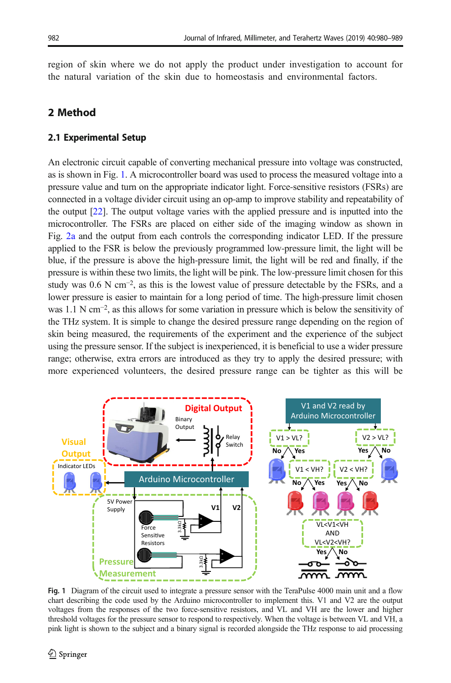region of skin where we do not apply the product under investigation to account for the natural variation of the skin due to homeostasis and environmental factors.

## 2 Method

#### 2.1 Experimental Setup

An electronic circuit capable of converting mechanical pressure into voltage was constructed, as is shown in Fig. 1. A microcontroller board was used to process the measured voltage into a pressure value and turn on the appropriate indicator light. Force-sensitive resistors (FSRs) are connected in a voltage divider circuit using an op-amp to improve stability and repeatability of the output [[22\]](#page-9-0). The output voltage varies with the applied pressure and is inputted into the microcontroller. The FSRs are placed on either side of the imaging window as shown in Fig. [2a](#page-3-0) and the output from each controls the corresponding indicator LED. If the pressure applied to the FSR is below the previously programmed low-pressure limit, the light will be blue, if the pressure is above the high-pressure limit, the light will be red and finally, if the pressure is within these two limits, the light will be pink. The low-pressure limit chosen for this study was 0.6 N cm<sup>−</sup>2, as this is the lowest value of pressure detectable by the FSRs, and a lower pressure is easier to maintain for a long period of time. The high-pressure limit chosen was 1.1 N cm<sup>-2</sup>, as this allows for some variation in pressure which is below the sensitivity of the THz system. It is simple to change the desired pressure range depending on the region of skin being measured, the requirements of the experiment and the experience of the subject using the pressure sensor. If the subject is inexperienced, it is beneficial to use a wider pressure range; otherwise, extra errors are introduced as they try to apply the desired pressure; with more experienced volunteers, the desired pressure range can be tighter as this will be



Fig. 1 Diagram of the circuit used to integrate a pressure sensor with the TeraPulse 4000 main unit and a flow chart describing the code used by the Arduino microcontroller to implement this. V1 and V2 are the output voltages from the responses of the two force-sensitive resistors, and VL and VH are the lower and higher threshold voltages for the pressure sensor to respond to respectively. When the voltage is between VL and VH, a pink light is shown to the subject and a binary signal is recorded alongside the THz response to aid processing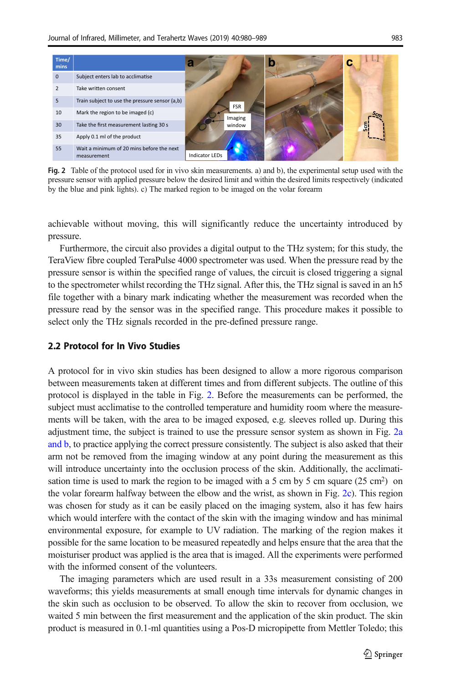<span id="page-3-0"></span>

Fig. 2 Table of the protocol used for in vivo skin measurements. a) and b), the experimental setup used with the pressure sensor with applied pressure below the desired limit and within the desired limits respectively (indicated by the blue and pink lights). c) The marked region to be imaged on the volar forearm

achievable without moving, this will significantly reduce the uncertainty introduced by pressure.

Furthermore, the circuit also provides a digital output to the THz system; for this study, the TeraView fibre coupled TeraPulse 4000 spectrometer was used. When the pressure read by the pressure sensor is within the specified range of values, the circuit is closed triggering a signal to the spectrometer whilst recording the THz signal. After this, the THz signal is saved in an h5 file together with a binary mark indicating whether the measurement was recorded when the pressure read by the sensor was in the specified range. This procedure makes it possible to select only the THz signals recorded in the pre-defined pressure range.

#### 2.2 Protocol for In Vivo Studies

A protocol for in vivo skin studies has been designed to allow a more rigorous comparison between measurements taken at different times and from different subjects. The outline of this protocol is displayed in the table in Fig. 2. Before the measurements can be performed, the subject must acclimatise to the controlled temperature and humidity room where the measurements will be taken, with the area to be imaged exposed, e.g. sleeves rolled up. During this adjustment time, the subject is trained to use the pressure sensor system as shown in Fig. 2a and b, to practice applying the correct pressure consistently. The subject is also asked that their arm not be removed from the imaging window at any point during the measurement as this will introduce uncertainty into the occlusion process of the skin. Additionally, the acclimatisation time is used to mark the region to be imaged with a 5 cm by 5 cm square  $(25 \text{ cm}^2)$  on the volar forearm halfway between the elbow and the wrist, as shown in Fig. 2c). This region was chosen for study as it can be easily placed on the imaging system, also it has few hairs which would interfere with the contact of the skin with the imaging window and has minimal environmental exposure, for example to UV radiation. The marking of the region makes it possible for the same location to be measured repeatedly and helps ensure that the area that the moisturiser product was applied is the area that is imaged. All the experiments were performed with the informed consent of the volunteers.

The imaging parameters which are used result in a 33s measurement consisting of 200 waveforms; this yields measurements at small enough time intervals for dynamic changes in the skin such as occlusion to be observed. To allow the skin to recover from occlusion, we waited 5 min between the first measurement and the application of the skin product. The skin product is measured in 0.1-ml quantities using a Pos-D micropipette from Mettler Toledo; this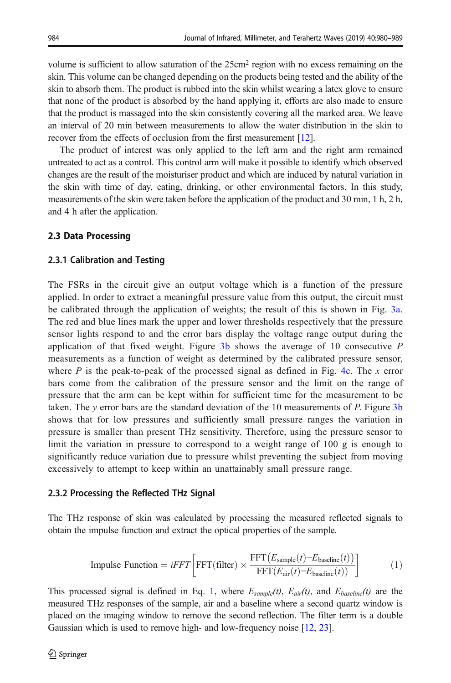volume is sufficient to allow saturation of the  $25 \text{cm}^2$  region with no excess remaining on the skin. This volume can be changed depending on the products being tested and the ability of the skin to absorb them. The product is rubbed into the skin whilst wearing a latex glove to ensure that none of the product is absorbed by the hand applying it, efforts are also made to ensure that the product is massaged into the skin consistently covering all the marked area. We leave an interval of 20 min between measurements to allow the water distribution in the skin to recover from the effects of occlusion from the first measurement [[12](#page-9-0)].

The product of interest was only applied to the left arm and the right arm remained untreated to act as a control. This control arm will make it possible to identify which observed changes are the result of the moisturiser product and which are induced by natural variation in the skin with time of day, eating, drinking, or other environmental factors. In this study, measurements of the skin were taken before the application of the product and 30 min, 1 h, 2 h, and 4 h after the application.

### 2.3 Data Processing

### 2.3.1 Calibration and Testing

The FSRs in the circuit give an output voltage which is a function of the pressure applied. In order to extract a meaningful pressure value from this output, the circuit must be calibrated through the application of weights; the result of this is shown in Fig. [3a](#page-5-0). The red and blue lines mark the upper and lower thresholds respectively that the pressure sensor lights respond to and the error bars display the voltage range output during the application of that fixed weight. Figure  $3b$  shows the average of 10 consecutive  $P$ measurements as a function of weight as determined by the calibrated pressure sensor, where  $P$  is the peak-to-peak of the processed signal as defined in Fig. [4c](#page-5-0). The  $x$  error bars come from the calibration of the pressure sensor and the limit on the range of pressure that the arm can be kept within for sufficient time for the measurement to be taken. The y error bars are the standard deviation of the 10 measurements of  $P$ . Figure [3b](#page-5-0) shows that for low pressures and sufficiently small pressure ranges the variation in pressure is smaller than present THz sensitivity. Therefore, using the pressure sensor to limit the variation in pressure to correspond to a weight range of 100 g is enough to significantly reduce variation due to pressure whilst preventing the subject from moving excessively to attempt to keep within an unattainably small pressure range.

#### 2.3.2 Processing the Reflected THz Signal

The THz response of skin was calculated by processing the measured reflected signals to obtain the impulse function and extract the optical properties of the sample.

Impulse Function = 
$$
iFFT\left[FFT(filter) \times \frac{FFT(E_{sample}(t) - E_{baseline}(t))}{FFT(E_{air}(t) - E_{baseline}(t))}\right]
$$
 (1)

This processed signal is defined in Eq. 1, where  $E_{sample}(t)$ ,  $E_{air}(t)$ , and  $E_{baseline}(t)$  are the measured THz responses of the sample, air and a baseline where a second quartz window is placed on the imaging window to remove the second reflection. The filter term is a double Gaussian which is used to remove high- and low-frequency noise [[12](#page-9-0), [23](#page-9-0)].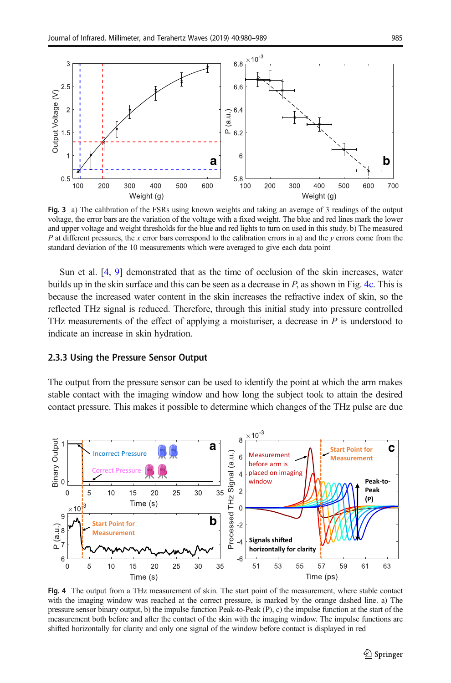<span id="page-5-0"></span>

Fig. 3 a) The calibration of the FSRs using known weights and taking an average of 3 readings of the output voltage, the error bars are the variation of the voltage with a fixed weight. The blue and red lines mark the lower and upper voltage and weight thresholds for the blue and red lights to turn on used in this study. b) The measured P at different pressures, the x error bars correspond to the calibration errors in a) and the  $\nu$  errors come from the standard deviation of the 10 measurements which were averaged to give each data point

Sun et al. [\[4](#page-9-0), [9\]](#page-9-0) demonstrated that as the time of occlusion of the skin increases, water builds up in the skin surface and this can be seen as a decrease in P, as shown in Fig. 4c. This is because the increased water content in the skin increases the refractive index of skin, so the reflected THz signal is reduced. Therefore, through this initial study into pressure controlled THz measurements of the effect of applying a moisturiser, a decrease in  $P$  is understood to indicate an increase in skin hydration.

#### 2.3.3 Using the Pressure Sensor Output

The output from the pressure sensor can be used to identify the point at which the arm makes stable contact with the imaging window and how long the subject took to attain the desired contact pressure. This makes it possible to determine which changes of the THz pulse are due



Fig. 4 The output from a THz measurement of skin. The start point of the measurement, where stable contact with the imaging window was reached at the correct pressure, is marked by the orange dashed line. a) The pressure sensor binary output, b) the impulse function Peak-to-Peak (P), c) the impulse function at the start of the measurement both before and after the contact of the skin with the imaging window. The impulse functions are shifted horizontally for clarity and only one signal of the window before contact is displayed in red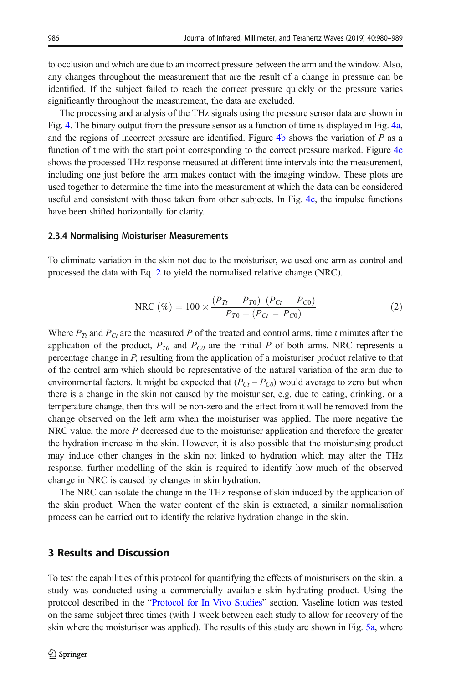<span id="page-6-0"></span>to occlusion and which are due to an incorrect pressure between the arm and the window. Also, any changes throughout the measurement that are the result of a change in pressure can be identified. If the subject failed to reach the correct pressure quickly or the pressure varies significantly throughout the measurement, the data are excluded.

The processing and analysis of the THz signals using the pressure sensor data are shown in Fig. [4](#page-5-0). The binary output from the pressure sensor as a function of time is displayed in Fig. [4a](#page-5-0), and the regions of incorrect pressure are identified. Figure [4b](#page-5-0) shows the variation of  $P$  as a function of time with the start point corresponding to the correct pressure marked. Figure [4c](#page-5-0) shows the processed THz response measured at different time intervals into the measurement, including one just before the arm makes contact with the imaging window. These plots are used together to determine the time into the measurement at which the data can be considered useful and consistent with those taken from other subjects. In Fig. [4c,](#page-5-0) the impulse functions have been shifted horizontally for clarity.

#### 2.3.4 Normalising Moisturiser Measurements

To eliminate variation in the skin not due to the moisturiser, we used one arm as control and processed the data with Eq. 2 to yield the normalised relative change (NRC).

$$
\text{NRC}(\%) = 100 \times \frac{(P_{Tt} - P_{T0}) - (P_{Ct} - P_{C0})}{P_{T0} + (P_{Ct} - P_{C0})}
$$
\n(2)

Where  $P_{Tt}$  and  $P_{Ct}$  are the measured P of the treated and control arms, time t minutes after the application of the product,  $P_{T0}$  and  $P_{C0}$  are the initial P of both arms. NRC represents a percentage change in P, resulting from the application of a moisturiser product relative to that of the control arm which should be representative of the natural variation of the arm due to environmental factors. It might be expected that  $(P_{C_t} - P_{C_0})$  would average to zero but when there is a change in the skin not caused by the moisturiser, e.g. due to eating, drinking, or a temperature change, then this will be non-zero and the effect from it will be removed from the change observed on the left arm when the moisturiser was applied. The more negative the NRC value, the more P decreased due to the moisturiser application and therefore the greater the hydration increase in the skin. However, it is also possible that the moisturising product may induce other changes in the skin not linked to hydration which may alter the THz response, further modelling of the skin is required to identify how much of the observed change in NRC is caused by changes in skin hydration.

The NRC can isolate the change in the THz response of skin induced by the application of the skin product. When the water content of the skin is extracted, a similar normalisation process can be carried out to identify the relative hydration change in the skin.

### 3 Results and Discussion

To test the capabilities of this protocol for quantifying the effects of moisturisers on the skin, a study was conducted using a commercially available skin hydrating product. Using the protocol described in the "[Protocol for In Vivo Studies](#page-3-0)" section. Vaseline lotion was tested on the same subject three times (with 1 week between each study to allow for recovery of the skin where the moisturiser was applied). The results of this study are shown in Fig. [5a](#page-7-0), where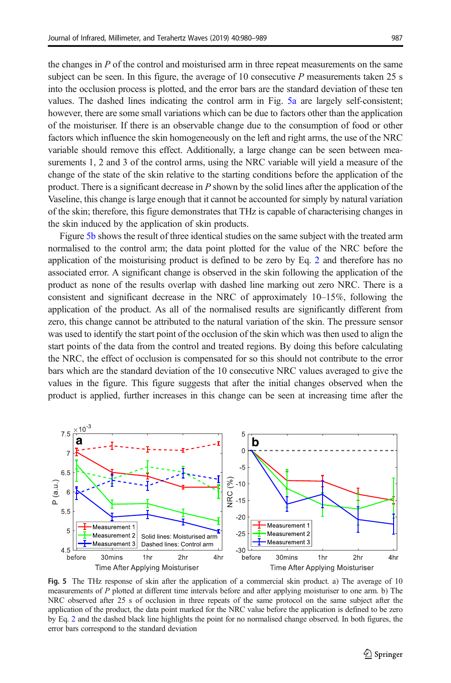<span id="page-7-0"></span>the changes in  $P$  of the control and moisturised arm in three repeat measurements on the same subject can be seen. In this figure, the average of 10 consecutive  $P$  measurements taken 25 s into the occlusion process is plotted, and the error bars are the standard deviation of these ten values. The dashed lines indicating the control arm in Fig. 5a are largely self-consistent; however, there are some small variations which can be due to factors other than the application of the moisturiser. If there is an observable change due to the consumption of food or other factors which influence the skin homogeneously on the left and right arms, the use of the NRC variable should remove this effect. Additionally, a large change can be seen between measurements 1, 2 and 3 of the control arms, using the NRC variable will yield a measure of the change of the state of the skin relative to the starting conditions before the application of the product. There is a significant decrease in  $P$  shown by the solid lines after the application of the Vaseline, this change is large enough that it cannot be accounted for simply by natural variation of the skin; therefore, this figure demonstrates that THz is capable of characterising changes in the skin induced by the application of skin products.

Figure 5b shows the result of three identical studies on the same subject with the treated arm normalised to the control arm; the data point plotted for the value of the NRC before the application of the moisturising product is defined to be zero by Eq. [2](#page-6-0) and therefore has no associated error. A significant change is observed in the skin following the application of the product as none of the results overlap with dashed line marking out zero NRC. There is a consistent and significant decrease in the NRC of approximately 10–15%, following the application of the product. As all of the normalised results are significantly different from zero, this change cannot be attributed to the natural variation of the skin. The pressure sensor was used to identify the start point of the occlusion of the skin which was then used to align the start points of the data from the control and treated regions. By doing this before calculating the NRC, the effect of occlusion is compensated for so this should not contribute to the error bars which are the standard deviation of the 10 consecutive NRC values averaged to give the values in the figure. This figure suggests that after the initial changes observed when the product is applied, further increases in this change can be seen at increasing time after the



Fig. 5 The THz response of skin after the application of a commercial skin product. a) The average of 10 measurements of P plotted at different time intervals before and after applying moisturiser to one arm. b) The NRC observed after 25 s of occlusion in three repeats of the same protocol on the same subject after the application of the product, the data point marked for the NRC value before the application is defined to be zero by Eq. [2](#page-6-0) and the dashed black line highlights the point for no normalised change observed. In both figures, the error bars correspond to the standard deviation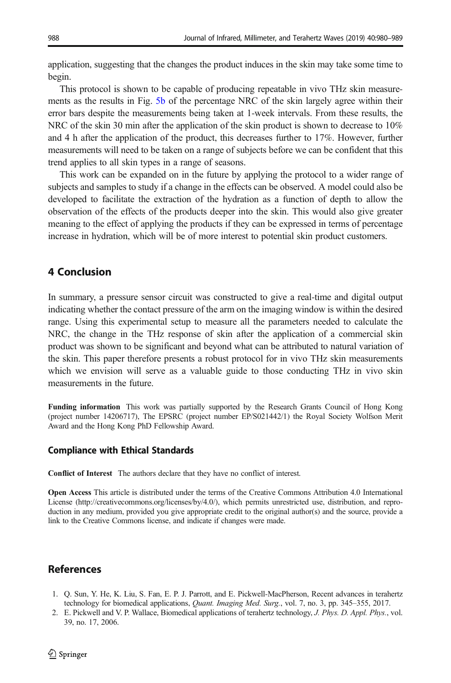<span id="page-8-0"></span>application, suggesting that the changes the product induces in the skin may take some time to begin.

This protocol is shown to be capable of producing repeatable in vivo THz skin measurements as the results in Fig. [5b](#page-7-0) of the percentage NRC of the skin largely agree within their error bars despite the measurements being taken at 1-week intervals. From these results, the NRC of the skin 30 min after the application of the skin product is shown to decrease to 10% and 4 h after the application of the product, this decreases further to 17%. However, further measurements will need to be taken on a range of subjects before we can be confident that this trend applies to all skin types in a range of seasons.

This work can be expanded on in the future by applying the protocol to a wider range of subjects and samples to study if a change in the effects can be observed. A model could also be developed to facilitate the extraction of the hydration as a function of depth to allow the observation of the effects of the products deeper into the skin. This would also give greater meaning to the effect of applying the products if they can be expressed in terms of percentage increase in hydration, which will be of more interest to potential skin product customers.

### 4 Conclusion

In summary, a pressure sensor circuit was constructed to give a real-time and digital output indicating whether the contact pressure of the arm on the imaging window is within the desired range. Using this experimental setup to measure all the parameters needed to calculate the NRC, the change in the THz response of skin after the application of a commercial skin product was shown to be significant and beyond what can be attributed to natural variation of the skin. This paper therefore presents a robust protocol for in vivo THz skin measurements which we envision will serve as a valuable guide to those conducting THz in vivo skin measurements in the future.

Funding information This work was partially supported by the Research Grants Council of Hong Kong (project number 14206717), The EPSRC (project number EP/S021442/1) the Royal Society Wolfson Merit Award and the Hong Kong PhD Fellowship Award.

#### Compliance with Ethical Standards

Conflict of Interest The authors declare that they have no conflict of interest.

Open Access This article is distributed under the terms of the Creative Commons Attribution 4.0 International License (http://creativecommons.org/licenses/by/4.0/), which permits unrestricted use, distribution, and reproduction in any medium, provided you give appropriate credit to the original author(s) and the source, provide a link to the Creative Commons license, and indicate if changes were made.

## References

- 1. Q. Sun, Y. He, K. Liu, S. Fan, E. P. J. Parrott, and E. Pickwell-MacPherson, Recent advances in terahertz technology for biomedical applications, Quant. Imaging Med. Surg., vol. 7, no. 3, pp. 345–355, 2017.
- 2. E. Pickwell and V. P. Wallace, Biomedical applications of terahertz technology, J. Phys. D. Appl. Phys., vol. 39, no. 17, 2006.